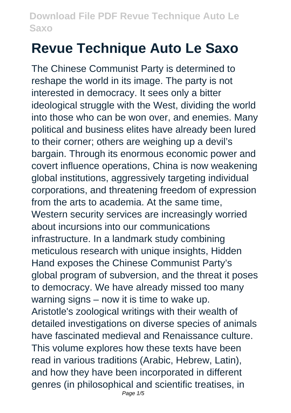# **Revue Technique Auto Le Saxo**

The Chinese Communist Party is determined to reshape the world in its image. The party is not interested in democracy. It sees only a bitter ideological struggle with the West, dividing the world into those who can be won over, and enemies. Many political and business elites have already been lured to their corner; others are weighing up a devil's bargain. Through its enormous economic power and covert influence operations, China is now weakening global institutions, aggressively targeting individual corporations, and threatening freedom of expression from the arts to academia. At the same time, Western security services are increasingly worried about incursions into our communications infrastructure. In a landmark study combining meticulous research with unique insights, Hidden Hand exposes the Chinese Communist Party's global program of subversion, and the threat it poses to democracy. We have already missed too many warning signs – now it is time to wake up. Aristotle's zoological writings with their wealth of detailed investigations on diverse species of animals have fascinated medieval and Renaissance culture. This volume explores how these texts have been read in various traditions (Arabic, Hebrew, Latin), and how they have been incorporated in different genres (in philosophical and scientific treatises, in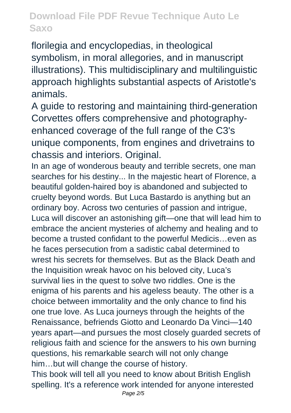florilegia and encyclopedias, in theological symbolism, in moral allegories, and in manuscript illustrations). This multidisciplinary and multilinguistic approach highlights substantial aspects of Aristotle's animals.

A guide to restoring and maintaining third-generation Corvettes offers comprehensive and photographyenhanced coverage of the full range of the C3's unique components, from engines and drivetrains to chassis and interiors. Original.

In an age of wonderous beauty and terrible secrets, one man searches for his destiny... In the majestic heart of Florence, a beautiful golden-haired boy is abandoned and subjected to cruelty beyond words. But Luca Bastardo is anything but an ordinary boy. Across two centuries of passion and intrigue, Luca will discover an astonishing gift—one that will lead him to embrace the ancient mysteries of alchemy and healing and to become a trusted confidant to the powerful Medicis…even as he faces persecution from a sadistic cabal determined to wrest his secrets for themselves. But as the Black Death and the Inquisition wreak havoc on his beloved city, Luca's survival lies in the quest to solve two riddles. One is the enigma of his parents and his ageless beauty. The other is a choice between immortality and the only chance to find his one true love. As Luca journeys through the heights of the Renaissance, befriends Giotto and Leonardo Da Vinci—140 years apart—and pursues the most closely guarded secrets of religious faith and science for the answers to his own burning questions, his remarkable search will not only change him…but will change the course of history. This book will tell all you need to know about British English

spelling. It's a reference work intended for anyone interested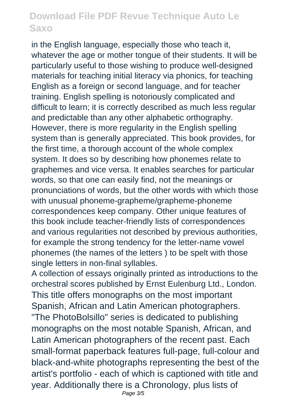in the English language, especially those who teach it, whatever the age or mother tongue of their students. It will be particularly useful to those wishing to produce well-designed materials for teaching initial literacy via phonics, for teaching English as a foreign or second language, and for teacher training. English spelling is notoriously complicated and difficult to learn; it is correctly described as much less regular and predictable than any other alphabetic orthography. However, there is more regularity in the English spelling system than is generally appreciated. This book provides, for the first time, a thorough account of the whole complex system. It does so by describing how phonemes relate to graphemes and vice versa. It enables searches for particular words, so that one can easily find, not the meanings or pronunciations of words, but the other words with which those with unusual phoneme-grapheme/grapheme-phoneme correspondences keep company. Other unique features of this book include teacher-friendly lists of correspondences and various regularities not described by previous authorities, for example the strong tendency for the letter-name vowel phonemes (the names of the letters ) to be spelt with those single letters in non-final syllables.

A collection of essays originally printed as introductions to the orchestral scores published by Ernst Eulenburg Ltd., London. This title offers monographs on the most important Spanish, African and Latin American photographers. "The PhotoBolsillo" series is dedicated to publishing monographs on the most notable Spanish, African, and Latin American photographers of the recent past. Each small-format paperback features full-page, full-colour and black-and-white photographs representing the best of the artist's portfolio - each of which is captioned with title and year. Additionally there is a Chronology, plus lists of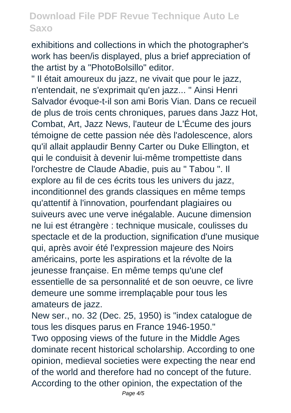exhibitions and collections in which the photographer's work has been/is displayed, plus a brief appreciation of the artist by a "PhotoBolsillo" editor.

" Il était amoureux du jazz, ne vivait que pour le jazz, n'entendait, ne s'exprimait qu'en jazz... " Ainsi Henri Salvador évoque-t-il son ami Boris Vian. Dans ce recueil de plus de trois cents chroniques, parues dans Jazz Hot, Combat, Art, Jazz News, l'auteur de L'Écume des jours témoigne de cette passion née dès l'adolescence, alors qu'il allait applaudir Benny Carter ou Duke Ellington, et qui le conduisit à devenir lui-même trompettiste dans l'orchestre de Claude Abadie, puis au " Tabou ". Il explore au fil de ces écrits tous les univers du jazz, inconditionnel des grands classiques en même temps qu'attentif à l'innovation, pourfendant plagiaires ou suiveurs avec une verve inégalable. Aucune dimension ne lui est étrangère : technique musicale, coulisses du spectacle et de la production, signification d'une musique qui, après avoir été l'expression majeure des Noirs américains, porte les aspirations et la révolte de la jeunesse française. En même temps qu'une clef essentielle de sa personnalité et de son oeuvre, ce livre demeure une somme irremplaçable pour tous les amateurs de jazz.

New ser., no. 32 (Dec. 25, 1950) is "index catalogue de tous les disques parus en France 1946-1950." Two opposing views of the future in the Middle Ages dominate recent historical scholarship. According to one opinion, medieval societies were expecting the near end of the world and therefore had no concept of the future. According to the other opinion, the expectation of the